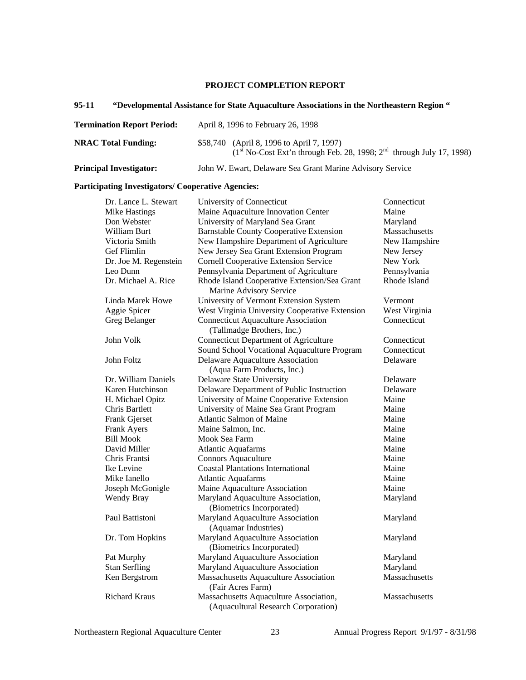# **PROJECT COMPLETION REPORT**

# **95-11 "Developmental Assistance for State Aquaculture Associations in the Northeastern Region "**

| <b>Termination Report Period:</b> | April 8, 1996 to February 26, 1998                                                                                  |  |
|-----------------------------------|---------------------------------------------------------------------------------------------------------------------|--|
| <b>NRAC Total Funding:</b>        | \$58,740 (April 8, 1996 to April 7, 1997)<br>$(1st No-Cost Ext'n through Feb. 28, 1998; 2nd through July 17, 1998)$ |  |
| <b>Principal Investigator:</b>    | John W. Ewart, Delaware Sea Grant Marine Advisory Service                                                           |  |

# **Participating Investigators/ Cooperative Agencies:**

| Dr. Lance L. Stewart  | University of Connecticut                                               | Connecticut   |
|-----------------------|-------------------------------------------------------------------------|---------------|
| <b>Mike Hastings</b>  | Maine Aquaculture Innovation Center                                     | Maine         |
| Don Webster           | University of Maryland Sea Grant                                        | Maryland      |
| William Burt          | <b>Barnstable County Cooperative Extension</b>                          | Massachusetts |
| Victoria Smith        | New Hampshire Department of Agriculture                                 | New Hampshire |
| Gef Flimlin           | New Jersey Sea Grant Extension Program                                  | New Jersey    |
| Dr. Joe M. Regenstein | <b>Cornell Cooperative Extension Service</b>                            | New York      |
| Leo Dunn              | Pennsylvania Department of Agriculture                                  | Pennsylvania  |
| Dr. Michael A. Rice   | Rhode Island Cooperative Extension/Sea Grant<br>Marine Advisory Service | Rhode Island  |
| Linda Marek Howe      | University of Vermont Extension System                                  | Vermont       |
| Aggie Spicer          | West Virginia University Cooperative Extension                          | West Virginia |
| Greg Belanger         | <b>Connecticut Aquaculture Association</b>                              | Connecticut   |
|                       | (Tallmadge Brothers, Inc.)                                              |               |
| John Volk             | <b>Connecticut Department of Agriculture</b>                            | Connecticut   |
|                       | Sound School Vocational Aquaculture Program                             | Connecticut   |
| John Foltz            | Delaware Aquaculture Association                                        | Delaware      |
|                       | (Aqua Farm Products, Inc.)                                              |               |
| Dr. William Daniels   | Delaware State University                                               | Delaware      |
| Karen Hutchinson      | Delaware Department of Public Instruction                               | Delaware      |
| H. Michael Opitz      | University of Maine Cooperative Extension                               | Maine         |
| Chris Bartlett        | University of Maine Sea Grant Program                                   | Maine         |
| Frank Gjerset         | <b>Atlantic Salmon of Maine</b>                                         | Maine         |
| Frank Ayers           | Maine Salmon, Inc.                                                      | Maine         |
| <b>Bill Mook</b>      | Mook Sea Farm                                                           | Maine         |
| David Miller          | <b>Atlantic Aquafarms</b>                                               | Maine         |
| Chris Frantsi         | <b>Connors Aquaculture</b>                                              | Maine         |
| Ike Levine            | <b>Coastal Plantations International</b>                                | Maine         |
| Mike Ianello          | <b>Atlantic Aquafarms</b>                                               | Maine         |
| Joseph McGonigle      | Maine Aquaculture Association                                           | Maine         |
| Wendy Bray            | Maryland Aquaculture Association,                                       | Maryland      |
|                       | (Biometrics Incorporated)                                               |               |
| Paul Battistoni       | Maryland Aquaculture Association<br>(Aquamar Industries)                | Maryland      |
| Dr. Tom Hopkins       | Maryland Aquaculture Association<br>(Biometrics Incorporated)           | Maryland      |
| Pat Murphy            | Maryland Aquaculture Association                                        | Maryland      |
| <b>Stan Serfling</b>  | Maryland Aquaculture Association                                        | Maryland      |
| Ken Bergstrom         | Massachusetts Aquaculture Association                                   | Massachusetts |
|                       | (Fair Acres Farm)                                                       |               |
| <b>Richard Kraus</b>  | Massachusetts Aquaculture Association,                                  | Massachusetts |
|                       | (Aquacultural Research Corporation)                                     |               |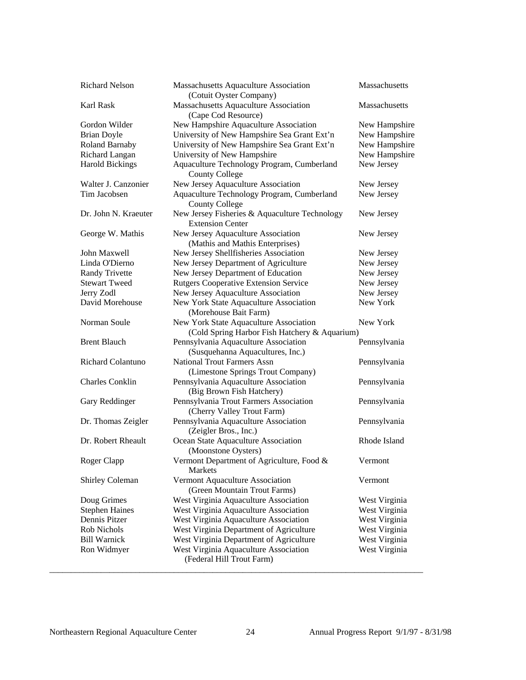| Richard Nelson         | Massachusetts Aquaculture Association<br>(Cotuit Oyster Company)         | Massachusetts |
|------------------------|--------------------------------------------------------------------------|---------------|
| Karl Rask              | Massachusetts Aquaculture Association                                    | Massachusetts |
|                        | (Cape Cod Resource)                                                      |               |
| Gordon Wilder          | New Hampshire Aquaculture Association                                    | New Hampshire |
| <b>Brian Doyle</b>     | University of New Hampshire Sea Grant Ext'n                              | New Hampshire |
| Roland Barnaby         | University of New Hampshire Sea Grant Ext'n                              | New Hampshire |
| Richard Langan         | University of New Hampshire                                              | New Hampshire |
| <b>Harold Bickings</b> | Aquaculture Technology Program, Cumberland<br><b>County College</b>      | New Jersey    |
| Walter J. Canzonier    | New Jersey Aquaculture Association                                       | New Jersey    |
| Tim Jacobsen           | Aquaculture Technology Program, Cumberland<br><b>County College</b>      | New Jersey    |
| Dr. John N. Kraeuter   | New Jersey Fisheries & Aquaculture Technology<br><b>Extension Center</b> | New Jersey    |
| George W. Mathis       | New Jersey Aquaculture Association<br>(Mathis and Mathis Enterprises)    | New Jersey    |
| John Maxwell           | New Jersey Shellfisheries Association                                    | New Jersey    |
| Linda O'Dierno         | New Jersey Department of Agriculture                                     | New Jersey    |
| <b>Randy Trivette</b>  | New Jersey Department of Education                                       | New Jersey    |
| <b>Stewart Tweed</b>   | <b>Rutgers Cooperative Extension Service</b>                             | New Jersey    |
| Jerry Zodl             | New Jersey Aquaculture Association                                       | New Jersey    |
| David Morehouse        | New York State Aquaculture Association<br>(Morehouse Bait Farm)          | New York      |
| Norman Soule           | New York State Aquaculture Association                                   | New York      |
|                        | (Cold Spring Harbor Fish Hatchery & Aquarium)                            |               |
| <b>Brent Blauch</b>    | Pennsylvania Aquaculture Association<br>(Susquehanna Aquacultures, Inc.) | Pennsylvania  |
| Richard Colantuno      | <b>National Trout Farmers Assn</b><br>(Limestone Springs Trout Company)  | Pennsylvania  |
| <b>Charles Conklin</b> | Pennsylvania Aquaculture Association<br>(Big Brown Fish Hatchery)        | Pennsylvania  |
| Gary Reddinger         | Pennsylvania Trout Farmers Association<br>(Cherry Valley Trout Farm)     | Pennsylvania  |
| Dr. Thomas Zeigler     | Pennsylvania Aquaculture Association<br>(Zeigler Bros., Inc.)            | Pennsylvania  |
| Dr. Robert Rheault     | Ocean State Aquaculture Association<br>(Moonstone Oysters)               | Rhode Island  |
| Roger Clapp            | Vermont Department of Agriculture, Food &<br><b>Markets</b>              | Vermont       |
| <b>Shirley Coleman</b> | Vermont Aquaculture Association<br>(Green Mountain Trout Farms)          | Vermont       |
| Doug Grimes            | West Virginia Aquaculture Association                                    | West Virginia |
| <b>Stephen Haines</b>  | West Virginia Aquaculture Association                                    | West Virginia |
| Dennis Pitzer          | West Virginia Aquaculture Association                                    | West Virginia |
| Rob Nichols            | West Virginia Department of Agriculture                                  | West Virginia |
| <b>Bill Warnick</b>    | West Virginia Department of Agriculture                                  | West Virginia |
| Ron Widmyer            | West Virginia Aquaculture Association<br>(Federal Hill Trout Farm)       | West Virginia |
|                        |                                                                          |               |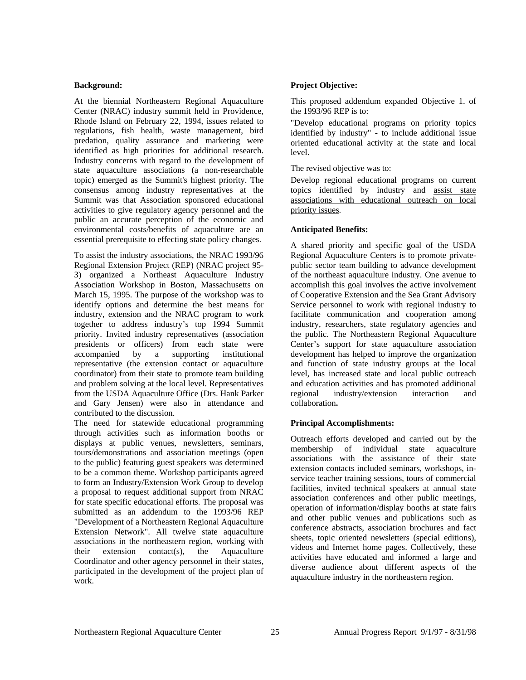## **Background:**

At the biennial Northeastern Regional Aquaculture Center (NRAC) industry summit held in Providence, Rhode Island on February 22, 1994, issues related to regulations, fish health, waste management, bird predation, quality assurance and marketing were identified as high priorities for additional research. Industry concerns with regard to the development of state aquaculture associations (a non-researchable topic) emerged as the Summit's highest priority. The consensus among industry representatives at the Summit was that Association sponsored educational activities to give regulatory agency personnel and the public an accurate perception of the economic and environmental costs/benefits of aquaculture are an essential prerequisite to effecting state policy changes.

To assist the industry associations, the NRAC 1993/96 Regional Extension Project (REP) (NRAC project 95- 3) organized a Northeast Aquaculture Industry Association Workshop in Boston, Massachusetts on March 15, 1995. The purpose of the workshop was to identify options and determine the best means for industry, extension and the NRAC program to work together to address industry's top 1994 Summit priority. Invited industry representatives (association presidents or officers) from each state were accompanied by a supporting institutional representative (the extension contact or aquaculture coordinator) from their state to promote team building and problem solving at the local level. Representatives from the USDA Aquaculture Office (Drs. Hank Parker and Gary Jensen) were also in attendance and contributed to the discussion.

The need for statewide educational programming through activities such as information booths or displays at public venues, newsletters, seminars, tours/demonstrations and association meetings (open to the public) featuring guest speakers was determined to be a common theme. Workshop participants agreed to form an Industry/Extension Work Group to develop a proposal to request additional support from NRAC for state specific educational efforts. The proposal was submitted as an addendum to the 1993/96 REP "Development of a Northeastern Regional Aquaculture Extension Network". All twelve state aquaculture associations in the northeastern region, working with their extension contact(s), the Aquaculture Coordinator and other agency personnel in their states, participated in the development of the project plan of work.

# **Project Objective:**

This proposed addendum expanded Objective 1. of the 1993/96 REP is to:

"Develop educational programs on priority topics identified by industry" - to include additional issue oriented educational activity at the state and local level.

The revised objective was to:

Develop regional educational programs on current topics identified by industry and assist state associations with educational outreach on local priority issues.

# **Anticipated Benefits:**

A shared priority and specific goal of the USDA Regional Aquaculture Centers is to promote privatepublic sector team building to advance development of the northeast aquaculture industry. One avenue to accomplish this goal involves the active involvement of Cooperative Extension and the Sea Grant Advisory Service personnel to work with regional industry to facilitate communication and cooperation among industry, researchers, state regulatory agencies and the public. The Northeastern Regional Aquaculture Center's support for state aquaculture association development has helped to improve the organization and function of state industry groups at the local level, has increased state and local public outreach and education activities and has promoted additional regional industry/extension interaction and collaboration**.** 

# **Principal Accomplishments:**

Outreach efforts developed and carried out by the membership of individual state aquaculture associations with the assistance of their state extension contacts included seminars, workshops, inservice teacher training sessions, tours of commercial facilities, invited technical speakers at annual state association conferences and other public meetings, operation of information/display booths at state fairs and other public venues and publications such as conference abstracts, association brochures and fact sheets, topic oriented newsletters (special editions), videos and Internet home pages. Collectively, these activities have educated and informed a large and diverse audience about different aspects of the aquaculture industry in the northeastern region.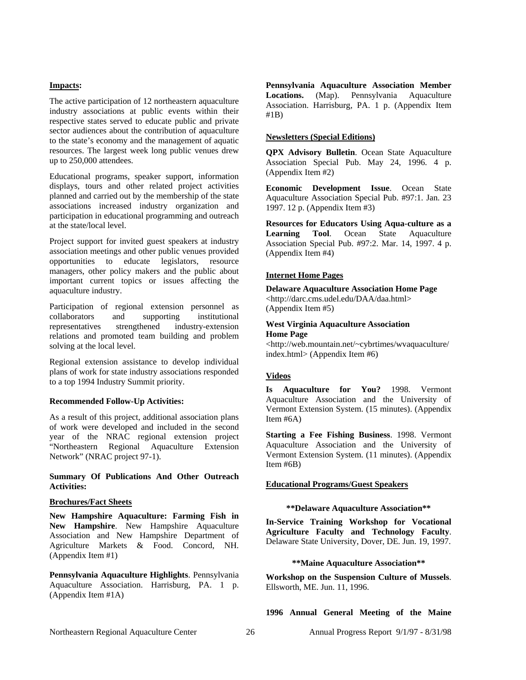#### **Impacts:**

The active participation of 12 northeastern aquaculture industry associations at public events within their respective states served to educate public and private sector audiences about the contribution of aquaculture to the state's economy and the management of aquatic resources. The largest week long public venues drew up to 250,000 attendees.

Educational programs, speaker support, information displays, tours and other related project activities planned and carried out by the membership of the state associations increased industry organization and participation in educational programming and outreach at the state/local level.

Project support for invited guest speakers at industry association meetings and other public venues provided opportunities to educate legislators, resource managers, other policy makers and the public about important current topics or issues affecting the aquaculture industry.

Participation of regional extension personnel as collaborators and supporting institutional representatives strengthened industry-extension relations and promoted team building and problem solving at the local level.

Regional extension assistance to develop individual plans of work for state industry associations responded to a top 1994 Industry Summit priority.

## **Recommended Follow-Up Activities:**

As a result of this project, additional association plans of work were developed and included in the second year of the NRAC regional extension project "Northeastern Regional Aquaculture Extension Network" (NRAC project 97-1).

# **Summary Of Publications And Other Outreach Activities:**

## **Brochures/Fact Sheets**

**New Hampshire Aquaculture: Farming Fish in New Hampshire**. New Hampshire Aquaculture Association and New Hampshire Department of Agriculture Markets & Food. Concord, NH. (Appendix Item #1)

**Pennsylvania Aquaculture Highlights**. Pennsylvania Aquaculture Association. Harrisburg, PA. 1 p. (Appendix Item #1A)

**Pennsylvania Aquaculture Association Member Locations.** (Map). Pennsylvania Aquaculture Association. Harrisburg, PA. 1 p. (Appendix Item #1B)

#### **Newsletters (Special Editions)**

**QPX Advisory Bulletin**. Ocean State Aquaculture Association Special Pub. May 24, 1996. 4 p. (Appendix Item #2)

**Economic Development Issue**. Ocean State Aquaculture Association Special Pub. #97:1. Jan. 23 1997. 12 p. (Appendix Item #3)

**Resources for Educators Using Aqua-culture as a Learning Tool**. Ocean State Aquaculture Association Special Pub. #97:2. Mar. 14, 1997. 4 p. (Appendix Item #4)

#### **Internet Home Pages**

**Delaware Aquaculture Association Home Page** <http://darc.cms.udel.edu/DAA/daa.html> (Appendix Item #5)

## **West Virginia Aquaculture Association Home Page**

<http://web.mountain.net/~cybrtimes/wvaquaculture/ index.html> (Appendix Item #6)

## **Videos**

**Is Aquaculture for You?** 1998. Vermont Aquaculture Association and the University of Vermont Extension System. (15 minutes). (Appendix Item #6A)

**Starting a Fee Fishing Business**. 1998. Vermont Aquaculture Association and the University of Vermont Extension System. (11 minutes). (Appendix Item #6B)

#### **Educational Programs/Guest Speakers**

#### **\*\*Delaware Aquaculture Association\*\***

**In-Service Training Workshop for Vocational Agriculture Faculty and Technology Faculty**. Delaware State University, Dover, DE. Jun. 19, 1997.

## **\*\*Maine Aquaculture Association\*\***

**Workshop on the Suspension Culture of Mussels**. Ellsworth, ME. Jun. 11, 1996.

**1996 Annual General Meeting of the Maine**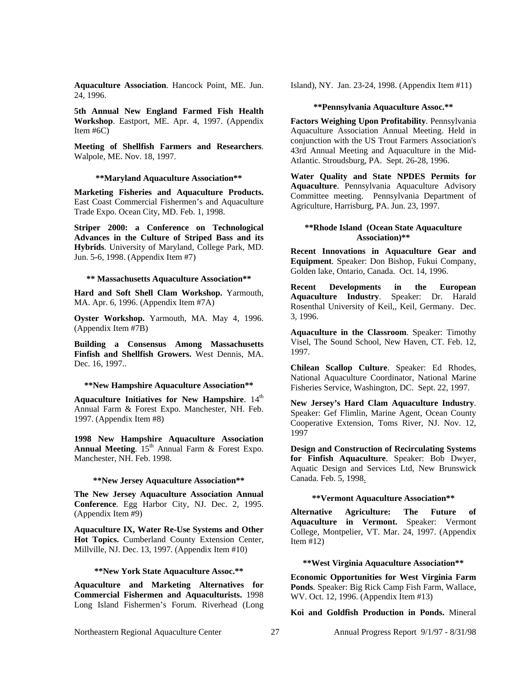**Aquaculture Association**. Hancock Point, ME. Jun. 24, 1996.

**5th Annual New England Farmed Fish Health Workshop**. Eastport, ME. Apr. 4, 1997. (Appendix Item #6C)

**Meeting of Shellfish Farmers and Researchers**. Walpole, ME. Nov. 18, 1997.

**\*\*Maryland Aquaculture Association\*\***

**Marketing Fisheries and Aquaculture Products.**  East Coast Commercial Fishermen's and Aquaculture Trade Expo. Ocean City, MD. Feb. 1, 1998.

**Striper 2000: a Conference on Technological Advances in the Culture of Striped Bass and its Hybrids**. University of Maryland, College Park, MD. Jun. 5-6, 1998. (Appendix Item #7)

## **\*\* Massachusetts Aquaculture Association\*\***

**Hard and Soft Shell Clam Workshop.** Yarmouth, MA. Apr. 6, 1996. (Appendix Item #7A)

**Oyster Workshop.** Yarmouth, MA. May 4, 1996. (Appendix Item #7B)

**Building a Consensus Among Massachusetts Finfish and Shellfish Growers.** West Dennis, MA. Dec. 16, 1997...

#### **\*\*New Hampshire Aquaculture Association\*\***

Aquaculture Initiatives for New Hampshire. 14<sup>th</sup> Annual Farm & Forest Expo. Manchester, NH. Feb. 1997. (Appendix Item #8)

**1998 New Hampshire Aquaculture Association Annual Meeting.** 15<sup>th</sup> Annual Farm & Forest Expo. Manchester, NH. Feb. 1998.

#### **\*\*New Jersey Aquaculture Association\*\***

**The New Jersey Aquaculture Association Annual Conference**. Egg Harbor City, NJ. Dec. 2, 1995. (Appendix Item #9)

**Aquaculture IX, Water Re-Use Systems and Other Hot Topics.** Cumberland County Extension Center, Millville, NJ. Dec. 13, 1997. (Appendix Item #10)

#### **\*\*New York State Aquaculture Assoc.\*\***

**Aquaculture and Marketing Alternatives for Commercial Fishermen and Aquaculturists.** 1998 Long Island Fishermen's Forum. Riverhead (Long

Island), NY. Jan. 23-24, 1998. (Appendix Item #11)

#### **\*\*Pennsylvania Aquaculture Assoc.\*\***

**Factors Weighing Upon Profitability**. Pennsylvania Aquaculture Association Annual Meeting. Held in conjunction with the US Trout Farmers Association's 43rd Annual Meeting and Aquaculture in the Mid-Atlantic. Stroudsburg, PA. Sept. 26-28, 1996.

**Water Quality and State NPDES Permits for Aquaculture**. Pennsylvania Aquaculture Advisory Committee meeting. Pennsylvania Department of Agriculture, Harrisburg, PA. Jun. 23, 1997.

#### **\*\*Rhode Island (Ocean State Aquaculture Association)\*\***

**Recent Innovations in Aquaculture Gear and Equipment**. Speaker: Don Bishop, Fukui Company, Golden lake, Ontario, Canada. Oct. 14, 1996.

**Recent Developments in the European Aquaculture Industry**. Speaker: Dr. Harald Rosenthal University of Keil,, Keil, Germany. Dec. 3, 1996.

**Aquaculture in the Classroom**. Speaker: Timothy Visel, The Sound School, New Haven, CT. Feb. 12, 1997.

**Chilean Scallop Culture**. Speaker: Ed Rhodes, National Aquaculture Coordinator, National Marine Fisheries Service, Washington, DC. Sept. 22, 1997.

**New Jersey's Hard Clam Aquaculture Industry**. Speaker: Gef Flimlin, Marine Agent, Ocean County Cooperative Extension, Toms River, NJ. Nov. 12, 1997

**Design and Construction of Recirculating Systems for Finfish Aquaculture**. Speaker: Bob Dwyer, Aquatic Design and Services Ltd, New Brunswick Canada. Feb. 5, 1998.

#### **\*\*Vermont Aquaculture Association\*\***

**Alternative Agriculture: The Future of Aquaculture in Vermont.** Speaker: Vermont College, Montpelier, VT. Mar. 24, 1997. (Appendix Item #12)

#### **\*\*West Virginia Aquaculture Association\*\***

**Economic Opportunities for West Virginia Farm Ponds**. Speaker: Big Rick Camp Fish Farm, Wallace, WV. Oct. 12, 1996. (Appendix Item #13)

**Koi and Goldfish Production in Ponds.** Mineral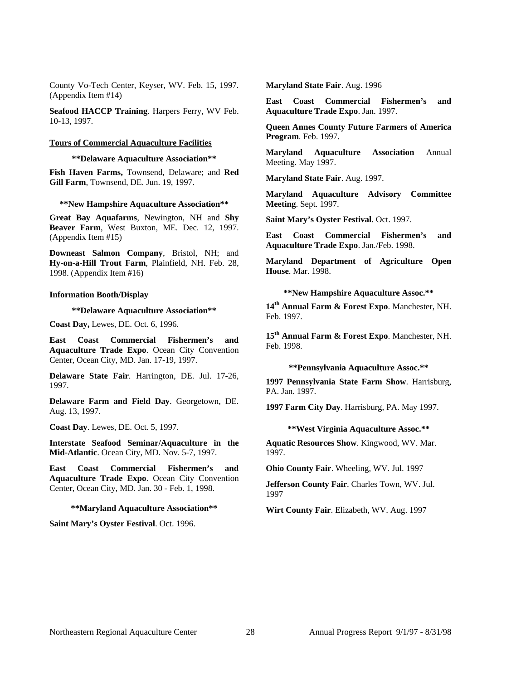County Vo-Tech Center, Keyser, WV. Feb. 15, 1997. (Appendix Item #14)

**Seafood HACCP Training**. Harpers Ferry, WV Feb. 10-13, 1997.

#### **Tours of Commercial Aquaculture Facilities**

#### **\*\*Delaware Aquaculture Association\*\***

**Fish Haven Farms,** Townsend, Delaware; and **Red Gill Farm**, Townsend, DE. Jun. 19, 1997.

#### **\*\*New Hampshire Aquaculture Association\*\***

**Great Bay Aquafarms**, Newington, NH and **Shy Beaver Farm**, West Buxton, ME. Dec. 12, 1997. (Appendix Item #15)

**Downeast Salmon Company**, Bristol, NH; and **Hy-on-a-Hill Trout Farm**, Plainfield, NH. Feb. 28, 1998. (Appendix Item #16)

#### **Information Booth/Display**

## **\*\*Delaware Aquaculture Association\*\***

**Coast Day,** Lewes, DE. Oct. 6, 1996.

**East Coast Commercial Fishermen's and Aquaculture Trade Expo**. Ocean City Convention Center, Ocean City, MD. Jan. 17-19, 1997.

**Delaware State Fair**. Harrington, DE. Jul. 17-26, 1997.

**Delaware Farm and Field Day**. Georgetown, DE. Aug. 13, 1997.

**Coast Day**. Lewes, DE. Oct. 5, 1997.

**Interstate Seafood Seminar/Aquaculture in the Mid-Atlantic**. Ocean City, MD. Nov. 5-7, 1997.

**East Coast Commercial Fishermen's and Aquaculture Trade Expo**. Ocean City Convention Center, Ocean City, MD. Jan. 30 - Feb. 1, 1998.

#### **\*\*Maryland Aquaculture Association\*\***

**Saint Mary's Oyster Festival**. Oct. 1996.

**Maryland State Fair**. Aug. 1996

**East Coast Commercial Fishermen's and Aquaculture Trade Expo**. Jan. 1997.

**Queen Annes County Future Farmers of America Program**. Feb. 1997.

**Maryland Aquaculture Association** Annual Meeting. May 1997.

**Maryland State Fair**. Aug. 1997.

**Maryland Aquaculture Advisory Committee Meeting**. Sept. 1997.

**Saint Mary's Oyster Festival**. Oct. 1997.

**East Coast Commercial Fishermen's and Aquaculture Trade Expo**. Jan./Feb. 1998.

**Maryland Department of Agriculture Open House**. Mar. 1998.

**\*\*New Hampshire Aquaculture Assoc.\*\***

**14th Annual Farm & Forest Expo**. Manchester, NH. Feb. 1997.

**15th Annual Farm & Forest Expo**. Manchester, NH. Feb. 1998.

#### **\*\*Pennsylvania Aquaculture Assoc.\*\***

**1997 Pennsylvania State Farm Show**. Harrisburg, PA. Jan. 1997.

**1997 Farm City Day**. Harrisburg, PA. May 1997.

#### **\*\*West Virginia Aquaculture Assoc.\*\***

**Aquatic Resources Show**. Kingwood, WV. Mar. 1997.

**Ohio County Fair**. Wheeling, WV. Jul. 1997

**Jefferson County Fair**. Charles Town, WV. Jul. 1997

**Wirt County Fair**. Elizabeth, WV. Aug. 1997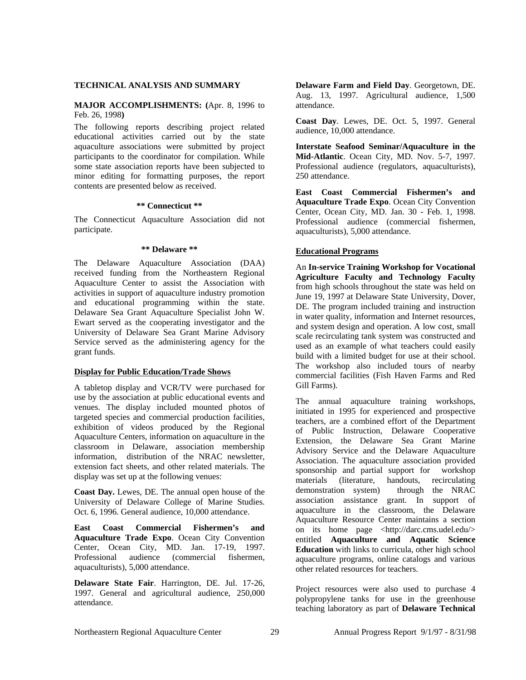## **TECHNICAL ANALYSIS AND SUMMARY**

## **MAJOR ACCOMPLISHMENTS: (**Apr. 8, 1996 to Feb. 26, 1998**)**

The following reports describing project related educational activities carried out by the state aquaculture associations were submitted by project participants to the coordinator for compilation. While some state association reports have been subjected to minor editing for formatting purposes, the report contents are presented below as received.

#### **\*\* Connecticut \*\***

The Connecticut Aquaculture Association did not participate.

#### **\*\* Delaware \*\***

The Delaware Aquaculture Association (DAA) received funding from the Northeastern Regional Aquaculture Center to assist the Association with activities in support of aquaculture industry promotion and educational programming within the state. Delaware Sea Grant Aquaculture Specialist John W. Ewart served as the cooperating investigator and the University of Delaware Sea Grant Marine Advisory Service served as the administering agency for the grant funds.

#### **Display for Public Education/Trade Shows**

A tabletop display and VCR/TV were purchased for use by the association at public educational events and venues. The display included mounted photos of targeted species and commercial production facilities, exhibition of videos produced by the Regional Aquaculture Centers, information on aquaculture in the classroom in Delaware, association membership information, distribution of the NRAC newsletter, extension fact sheets, and other related materials. The display was set up at the following venues:

**Coast Day.** Lewes, DE. The annual open house of the University of Delaware College of Marine Studies. Oct. 6, 1996. General audience, 10,000 attendance.

**East Coast Commercial Fishermen's and Aquaculture Trade Expo**. Ocean City Convention Center, Ocean City, MD. Jan. 17-19, 1997. Professional audience (commercial fishermen, aquaculturists), 5,000 attendance.

**Delaware State Fair**. Harrington, DE. Jul. 17-26, 1997. General and agricultural audience, 250,000 attendance.

**Delaware Farm and Field Day**. Georgetown, DE. Aug. 13, 1997. Agricultural audience, 1,500 attendance.

**Coast Day**. Lewes, DE. Oct. 5, 1997. General audience, 10,000 attendance.

**Interstate Seafood Seminar/Aquaculture in the Mid-Atlantic**. Ocean City, MD. Nov. 5-7, 1997. Professional audience (regulators, aquaculturists), 250 attendance.

**East Coast Commercial Fishermen's and Aquaculture Trade Expo**. Ocean City Convention Center, Ocean City, MD. Jan. 30 - Feb. 1, 1998. Professional audience (commercial fishermen, aquaculturists), 5,000 attendance.

## **Educational Programs**

An **In-service Training Workshop for Vocational Agriculture Faculty and Technology Faculty** from high schools throughout the state was held on June 19, 1997 at Delaware State University, Dover, DE. The program included training and instruction in water quality, information and Internet resources, and system design and operation. A low cost, small scale recirculating tank system was constructed and used as an example of what teachers could easily build with a limited budget for use at their school. The workshop also included tours of nearby commercial facilities (Fish Haven Farms and Red Gill Farms).

The annual aquaculture training workshops, initiated in 1995 for experienced and prospective teachers, are a combined effort of the Department of Public Instruction, Delaware Cooperative Extension, the Delaware Sea Grant Marine Advisory Service and the Delaware Aquaculture Association. The aquaculture association provided sponsorship and partial support for workshop materials (literature, handouts, recirculating demonstration system) through the NRAC association assistance grant. In support of aquaculture in the classroom, the Delaware Aquaculture Resource Center maintains a section on its home page <http://darc.cms.udel.edu/> entitled **Aquaculture and Aquatic Science Education** with links to curricula, other high school aquaculture programs, online catalogs and various other related resources for teachers.

Project resources were also used to purchase 4 polypropylene tanks for use in the greenhouse teaching laboratory as part of **Delaware Technical**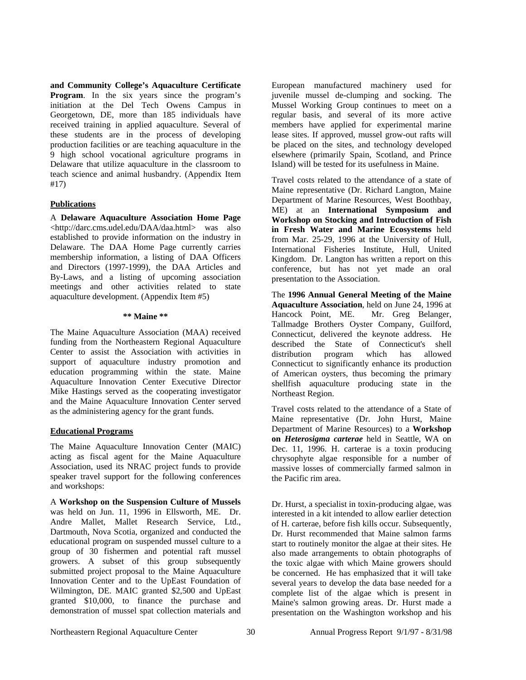**and Community College's Aquaculture Certificate Program**. In the six years since the program's initiation at the Del Tech Owens Campus in Georgetown, DE, more than 185 individuals have received training in applied aquaculture. Several of these students are in the process of developing production facilities or are teaching aquaculture in the 9 high school vocational agriculture programs in Delaware that utilize aquaculture in the classroom to teach science and animal husbandry. (Appendix Item #17)

## **Publications**

A **Delaware Aquaculture Association Home Page** <http://darc.cms.udel.edu/DAA/daa.html> was also established to provide information on the industry in Delaware. The DAA Home Page currently carries membership information, a listing of DAA Officers and Directors (1997-1999), the DAA Articles and By-Laws, and a listing of upcoming association meetings and other activities related to state aquaculture development. (Appendix Item #5)

## **\*\* Maine \*\***

The Maine Aquaculture Association (MAA) received funding from the Northeastern Regional Aquaculture Center to assist the Association with activities in support of aquaculture industry promotion and education programming within the state. Maine Aquaculture Innovation Center Executive Director Mike Hastings served as the cooperating investigator and the Maine Aquaculture Innovation Center served as the administering agency for the grant funds.

## **Educational Programs**

The Maine Aquaculture Innovation Center (MAIC) acting as fiscal agent for the Maine Aquaculture Association, used its NRAC project funds to provide speaker travel support for the following conferences and workshops:

A **Workshop on the Suspension Culture of Mussels** was held on Jun. 11, 1996 in Ellsworth, ME. Dr. Andre Mallet, Mallet Research Service, Ltd., Dartmouth, Nova Scotia, organized and conducted the educational program on suspended mussel culture to a group of 30 fishermen and potential raft mussel growers. A subset of this group subsequently submitted project proposal to the Maine Aquaculture Innovation Center and to the UpEast Foundation of Wilmington, DE. MAIC granted \$2,500 and UpEast granted \$10,000, to finance the purchase and demonstration of mussel spat collection materials and

European manufactured machinery used for juvenile mussel de-clumping and socking. The Mussel Working Group continues to meet on a regular basis, and several of its more active members have applied for experimental marine lease sites. If approved, mussel grow-out rafts will be placed on the sites, and technology developed elsewhere (primarily Spain, Scotland, and Prince Island) will be tested for its usefulness in Maine.

Travel costs related to the attendance of a state of Maine representative (Dr. Richard Langton, Maine Department of Marine Resources, West Boothbay, ME) at an **International Symposium and Workshop on Stocking and Introduction of Fish in Fresh Water and Marine Ecosystems** held from Mar. 25-29, 1996 at the University of Hull, International Fisheries Institute, Hull, United Kingdom. Dr. Langton has written a report on this conference, but has not yet made an oral presentation to the Association.

The **1996 Annual General Meeting of the Maine Aquaculture Association**, held on June 24, 1996 at Hancock Point, ME. Mr. Greg Belanger, Tallmadge Brothers Oyster Company, Guilford, Connecticut, delivered the keynote address. He described the State of Connecticut's shell distribution program which has allowed Connecticut to significantly enhance its production of American oysters, thus becoming the primary shellfish aquaculture producing state in the Northeast Region.

Travel costs related to the attendance of a State of Maine representative (Dr. John Hurst, Maine Department of Marine Resources) to a **Workshop on** *Heterosigma carterae* held in Seattle, WA on Dec. 11, 1996. H. carterae is a toxin producing chrysophyte algae responsible for a number of massive losses of commercially farmed salmon in the Pacific rim area.

Dr. Hurst, a specialist in toxin-producing algae, was interested in a kit intended to allow earlier detection of H. carterae, before fish kills occur. Subsequently, Dr. Hurst recommended that Maine salmon farms start to routinely monitor the algae at their sites. He also made arrangements to obtain photographs of the toxic algae with which Maine growers should be concerned. He has emphasized that it will take several years to develop the data base needed for a complete list of the algae which is present in Maine's salmon growing areas. Dr. Hurst made a presentation on the Washington workshop and his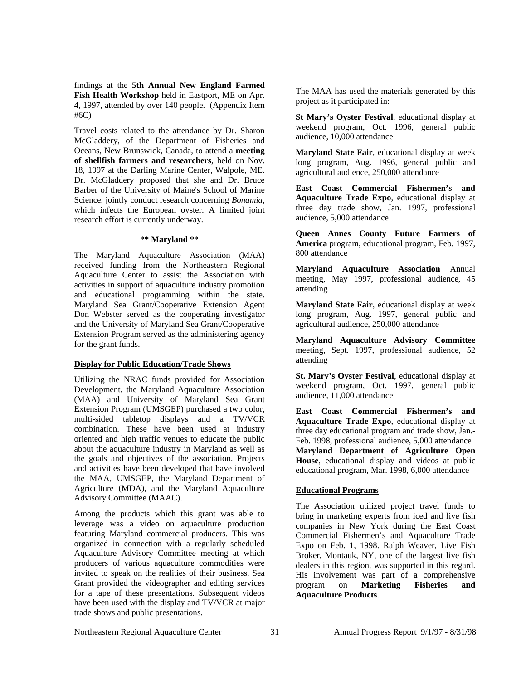findings at the **5th Annual New England Farmed Fish Health Workshop** held in Eastport, ME on Apr. 4, 1997, attended by over 140 people. (Appendix Item #6C)

Travel costs related to the attendance by Dr. Sharon McGladdery, of the Department of Fisheries and Oceans, New Brunswick, Canada, to attend a **meeting of shellfish farmers and researchers**, held on Nov. 18, 1997 at the Darling Marine Center, Walpole, ME. Dr. McGladdery proposed that she and Dr. Bruce Barber of the University of Maine's School of Marine Science, jointly conduct research concerning *Bonamia*, which infects the European oyster. A limited joint research effort is currently underway.

#### **\*\* Maryland \*\***

The Maryland Aquaculture Association (MAA) received funding from the Northeastern Regional Aquaculture Center to assist the Association with activities in support of aquaculture industry promotion and educational programming within the state. Maryland Sea Grant/Cooperative Extension Agent Don Webster served as the cooperating investigator and the University of Maryland Sea Grant/Cooperative Extension Program served as the administering agency for the grant funds.

# **Display for Public Education/Trade Shows**

Utilizing the NRAC funds provided for Association Development, the Maryland Aquaculture Association (MAA) and University of Maryland Sea Grant Extension Program (UMSGEP) purchased a two color, multi-sided tabletop displays and a TV/VCR combination. These have been used at industry oriented and high traffic venues to educate the public about the aquaculture industry in Maryland as well as the goals and objectives of the association. Projects and activities have been developed that have involved the MAA, UMSGEP, the Maryland Department of Agriculture (MDA), and the Maryland Aquaculture Advisory Committee (MAAC).

Among the products which this grant was able to leverage was a video on aquaculture production featuring Maryland commercial producers. This was organized in connection with a regularly scheduled Aquaculture Advisory Committee meeting at which producers of various aquaculture commodities were invited to speak on the realities of their business. Sea Grant provided the videographer and editing services for a tape of these presentations. Subsequent videos have been used with the display and TV/VCR at major trade shows and public presentations.

The MAA has used the materials generated by this project as it participated in:

**St Mary's Oyster Festival**, educational display at weekend program, Oct. 1996, general public audience, 10,000 attendance

**Maryland State Fair**, educational display at week long program, Aug. 1996, general public and agricultural audience, 250,000 attendance

**East Coast Commercial Fishermen's and Aquaculture Trade Expo**, educational display at three day trade show, Jan. 1997, professional audience, 5,000 attendance

**Queen Annes County Future Farmers of America** program, educational program, Feb. 1997, 800 attendance

**Maryland Aquaculture Association** Annual meeting, May 1997, professional audience, 45 attending

**Maryland State Fair**, educational display at week long program, Aug. 1997, general public and agricultural audience, 250,000 attendance

**Maryland Aquaculture Advisory Committee** meeting, Sept. 1997, professional audience, 52 attending

**St. Mary's Oyster Festival**, educational display at weekend program, Oct. 1997, general public audience, 11,000 attendance

**East Coast Commercial Fishermen's and Aquaculture Trade Expo**, educational display at three day educational program and trade show, Jan.- Feb. 1998, professional audience, 5,000 attendance **Maryland Department of Agriculture Open House**, educational display and videos at public educational program, Mar. 1998, 6,000 attendance

# **Educational Programs**

The Association utilized project travel funds to bring in marketing experts from iced and live fish companies in New York during the East Coast Commercial Fishermen's and Aquaculture Trade Expo on Feb. 1, 1998. Ralph Weaver, Live Fish Broker, Montauk, NY, one of the largest live fish dealers in this region, was supported in this regard. His involvement was part of a comprehensive program on **Marketing Fisheries and Aquaculture Products**.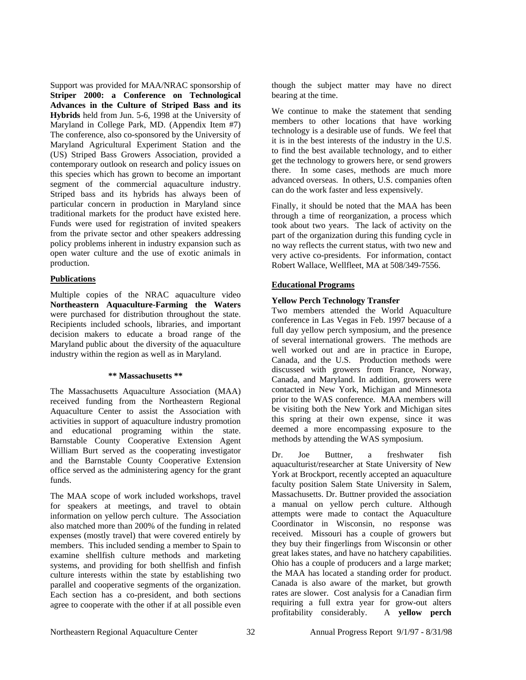Support was provided for MAA/NRAC sponsorship of **Striper 2000: a Conference on Technological Advances in the Culture of Striped Bass and its Hybrids** held from Jun. 5-6, 1998 at the University of Maryland in College Park, MD. (Appendix Item #7) The conference, also co-sponsored by the University of Maryland Agricultural Experiment Station and the (US) Striped Bass Growers Association, provided a contemporary outlook on research and policy issues on this species which has grown to become an important segment of the commercial aquaculture industry. Striped bass and its hybrids has always been of particular concern in production in Maryland since traditional markets for the product have existed here. Funds were used for registration of invited speakers from the private sector and other speakers addressing policy problems inherent in industry expansion such as open water culture and the use of exotic animals in production.

# **Publications**

Multiple copies of the NRAC aquaculture video **Northeastern Aquaculture-Farming the Waters** were purchased for distribution throughout the state. Recipients included schools, libraries, and important decision makers to educate a broad range of the Maryland public about the diversity of the aquaculture industry within the region as well as in Maryland.

## **\*\* Massachusetts \*\***

The Massachusetts Aquaculture Association (MAA) received funding from the Northeastern Regional Aquaculture Center to assist the Association with activities in support of aquaculture industry promotion and educational programing within the state. Barnstable County Cooperative Extension Agent William Burt served as the cooperating investigator and the Barnstable County Cooperative Extension office served as the administering agency for the grant funds.

The MAA scope of work included workshops, travel for speakers at meetings, and travel to obtain information on yellow perch culture. The Association also matched more than 200% of the funding in related expenses (mostly travel) that were covered entirely by members. This included sending a member to Spain to examine shellfish culture methods and marketing systems, and providing for both shellfish and finfish culture interests within the state by establishing two parallel and cooperative segments of the organization. Each section has a co-president, and both sections agree to cooperate with the other if at all possible even

though the subject matter may have no direct bearing at the time.

We continue to make the statement that sending members to other locations that have working technology is a desirable use of funds. We feel that it is in the best interests of the industry in the U.S. to find the best available technology, and to either get the technology to growers here, or send growers there. In some cases, methods are much more advanced overseas. In others, U.S. companies often can do the work faster and less expensively.

Finally, it should be noted that the MAA has been through a time of reorganization, a process which took about two years. The lack of activity on the part of the organization during this funding cycle in no way reflects the current status, with two new and very active co-presidents. For information, contact Robert Wallace, Wellfleet, MA at 508/349-7556.

# **Educational Programs**

# **Yellow Perch Technology Transfer**

Two members attended the World Aquaculture conference in Las Vegas in Feb. 1997 because of a full day yellow perch symposium, and the presence of several international growers. The methods are well worked out and are in practice in Europe, Canada, and the U.S. Production methods were discussed with growers from France, Norway, Canada, and Maryland. In addition, growers were contacted in New York, Michigan and Minnesota prior to the WAS conference. MAA members will be visiting both the New York and Michigan sites this spring at their own expense, since it was deemed a more encompassing exposure to the methods by attending the WAS symposium.

Dr. Joe Buttner, a freshwater fish aquaculturist/researcher at State University of New York at Brockport, recently accepted an aquaculture faculty position Salem State University in Salem, Massachusetts. Dr. Buttner provided the association a manual on yellow perch culture. Although attempts were made to contact the Aquaculture Coordinator in Wisconsin, no response was received. Missouri has a couple of growers but they buy their fingerlings from Wisconsin or other great lakes states, and have no hatchery capabilities. Ohio has a couple of producers and a large market; the MAA has located a standing order for product. Canada is also aware of the market, but growth rates are slower. Cost analysis for a Canadian firm requiring a full extra year for grow-out alters profitability considerably. A **yellow perch**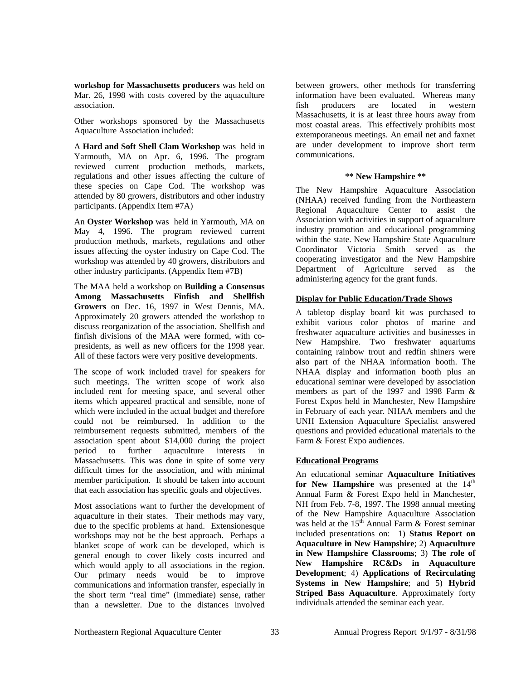**workshop for Massachusetts producers** was held on Mar. 26, 1998 with costs covered by the aquaculture association.

Other workshops sponsored by the Massachusetts Aquaculture Association included:

A **Hard and Soft Shell Clam Workshop** was held in Yarmouth, MA on Apr. 6, 1996. The program reviewed current production methods, markets, regulations and other issues affecting the culture of these species on Cape Cod. The workshop was attended by 80 growers, distributors and other industry participants. (Appendix Item #7A)

An **Oyster Workshop** was held in Yarmouth, MA on May 4, 1996. The program reviewed current production methods, markets, regulations and other issues affecting the oyster industry on Cape Cod. The workshop was attended by 40 growers, distributors and other industry participants. (Appendix Item #7B)

The MAA held a workshop on **Building a Consensus Among Massachusetts Finfish and Shellfish Growers** on Dec. 16, 1997 in West Dennis, MA. Approximately 20 growers attended the workshop to discuss reorganization of the association. Shellfish and finfish divisions of the MAA were formed, with copresidents, as well as new officers for the 1998 year. All of these factors were very positive developments.

The scope of work included travel for speakers for such meetings. The written scope of work also included rent for meeting space, and several other items which appeared practical and sensible, none of which were included in the actual budget and therefore could not be reimbursed. In addition to the reimbursement requests submitted, members of the association spent about \$14,000 during the project period to further aquaculture interests in Massachusetts. This was done in spite of some very difficult times for the association, and with minimal member participation. It should be taken into account that each association has specific goals and objectives.

Most associations want to further the development of aquaculture in their states. Their methods may vary, due to the specific problems at hand. Extensionesque workshops may not be the best approach. Perhaps a blanket scope of work can be developed, which is general enough to cover likely costs incurred and which would apply to all associations in the region. Our primary needs would be to improve communications and information transfer, especially in the short term "real time" (immediate) sense, rather than a newsletter. Due to the distances involved

between growers, other methods for transferring information have been evaluated. Whereas many fish producers are located in western Massachusetts, it is at least three hours away from most coastal areas. This effectively prohibits most extemporaneous meetings. An email net and faxnet are under development to improve short term communications.

## **\*\* New Hampshire \*\***

The New Hampshire Aquaculture Association (NHAA) received funding from the Northeastern Regional Aquaculture Center to assist the Association with activities in support of aquaculture industry promotion and educational programming within the state. New Hampshire State Aquaculture Coordinator Victoria Smith served as the cooperating investigator and the New Hampshire Department of Agriculture served as the administering agency for the grant funds.

# **Display for Public Education/Trade Shows**

A tabletop display board kit was purchased to exhibit various color photos of marine and freshwater aquaculture activities and businesses in New Hampshire. Two freshwater aquariums containing rainbow trout and redfin shiners were also part of the NHAA information booth. The NHAA display and information booth plus an educational seminar were developed by association members as part of the 1997 and 1998 Farm & Forest Expos held in Manchester, New Hampshire in February of each year. NHAA members and the UNH Extension Aquaculture Specialist answered questions and provided educational materials to the Farm & Forest Expo audiences.

# **Educational Programs**

An educational seminar **Aquaculture Initiatives**  for New Hampshire was presented at the 14<sup>th</sup> Annual Farm & Forest Expo held in Manchester, NH from Feb. 7-8, 1997. The 1998 annual meeting of the New Hampshire Aquaculture Association was held at the  $15<sup>th</sup>$  Annual Farm & Forest seminar included presentations on: 1) **Status Report on Aquaculture in New Hampshire**; 2) **Aquaculture in New Hampshire Classrooms**; 3) **The role of New Hampshire RC&Ds in Aquaculture Development**; 4) **Applications of Recirculating Systems in New Hampshire**; and 5) **Hybrid Striped Bass Aquaculture**. Approximately forty individuals attended the seminar each year.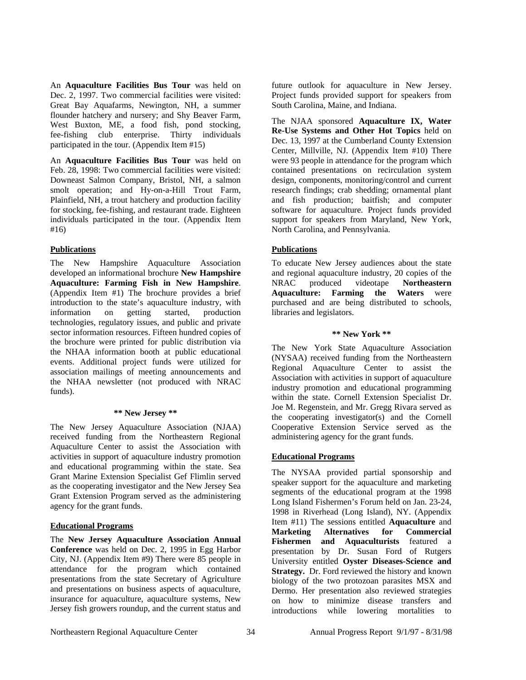An **Aquaculture Facilities Bus Tour** was held on Dec. 2, 1997. Two commercial facilities were visited: Great Bay Aquafarms, Newington, NH, a summer flounder hatchery and nursery; and Shy Beaver Farm, West Buxton, ME, a food fish, pond stocking, fee-fishing club enterprise. Thirty individuals participated in the tour. (Appendix Item #15)

An **Aquaculture Facilities Bus Tour** was held on Feb. 28, 1998: Two commercial facilities were visited: Downeast Salmon Company, Bristol, NH, a salmon smolt operation; and Hy-on-a-Hill Trout Farm, Plainfield, NH, a trout hatchery and production facility for stocking, fee-fishing, and restaurant trade. Eighteen individuals participated in the tour. (Appendix Item #16)

## **Publications**

The New Hampshire Aquaculture Association developed an informational brochure **New Hampshire Aquaculture: Farming Fish in New Hampshire**. (Appendix Item #1) The brochure provides a brief introduction to the state's aquaculture industry, with information on getting started, production technologies, regulatory issues, and public and private sector information resources. Fifteen hundred copies of the brochure were printed for public distribution via the NHAA information booth at public educational events. Additional project funds were utilized for association mailings of meeting announcements and the NHAA newsletter (not produced with NRAC funds).

#### **\*\* New Jersey \*\***

The New Jersey Aquaculture Association (NJAA) received funding from the Northeastern Regional Aquaculture Center to assist the Association with activities in support of aquaculture industry promotion and educational programming within the state. Sea Grant Marine Extension Specialist Gef Flimlin served as the cooperating investigator and the New Jersey Sea Grant Extension Program served as the administering agency for the grant funds.

## **Educational Programs**

The **New Jersey Aquaculture Association Annual Conference** was held on Dec. 2, 1995 in Egg Harbor City, NJ. (Appendix Item #9) There were 85 people in attendance for the program which contained presentations from the state Secretary of Agriculture and presentations on business aspects of aquaculture, insurance for aquaculture, aquaculture systems, New Jersey fish growers roundup, and the current status and future outlook for aquaculture in New Jersey. Project funds provided support for speakers from South Carolina, Maine, and Indiana.

The NJAA sponsored **Aquaculture IX, Water Re-Use Systems and Other Hot Topics** held on Dec. 13, 1997 at the Cumberland County Extension Center, Millville, NJ. (Appendix Item #10) There were 93 people in attendance for the program which contained presentations on recirculation system design, components, monitoring/control and current research findings; crab shedding; ornamental plant and fish production; baitfish; and computer software for aquaculture. Project funds provided support for speakers from Maryland, New York, North Carolina, and Pennsylvania.

## **Publications**

To educate New Jersey audiences about the state and regional aquaculture industry, 20 copies of the NRAC produced videotape **Northeastern Aquaculture: Farming the Waters** were purchased and are being distributed to schools, libraries and legislators.

## **\*\* New York \*\***

The New York State Aquaculture Association (NYSAA) received funding from the Northeastern Regional Aquaculture Center to assist the Association with activities in support of aquaculture industry promotion and educational programming within the state. Cornell Extension Specialist Dr. Joe M. Regenstein, and Mr. Gregg Rivara served as the cooperating investigator(s) and the Cornell Cooperative Extension Service served as the administering agency for the grant funds.

# **Educational Programs**

The NYSAA provided partial sponsorship and speaker support for the aquaculture and marketing segments of the educational program at the 1998 Long Island Fishermen's Forum held on Jan. 23-24, 1998 in Riverhead (Long Island), NY. (Appendix Item #11) The sessions entitled **Aquaculture** and **Marketing Alternatives for Commercial Fishermen and Aquaculturists** featured a presentation by Dr. Susan Ford of Rutgers University entitled **Oyster Diseases-Science and Strategy.** Dr. Ford reviewed the history and known biology of the two protozoan parasites MSX and Dermo. Her presentation also reviewed strategies on how to minimize disease transfers and introductions while lowering mortalities to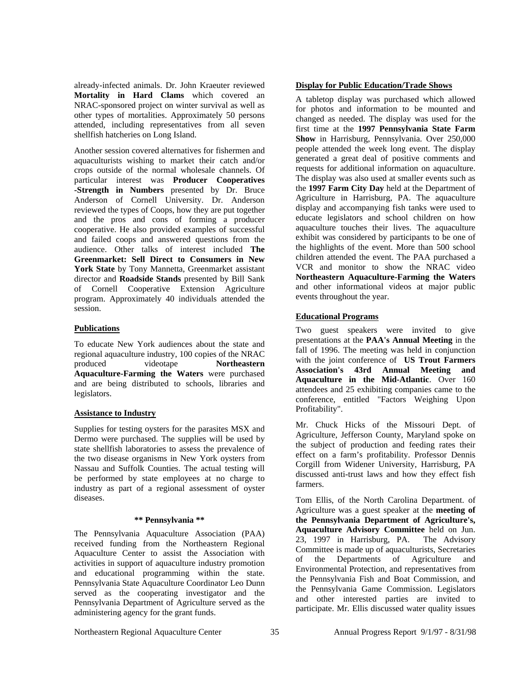already-infected animals. Dr. John Kraeuter reviewed **Mortality in Hard Clams** which covered an NRAC-sponsored project on winter survival as well as other types of mortalities. Approximately 50 persons attended, including representatives from all seven shellfish hatcheries on Long Island.

Another session covered alternatives for fishermen and aquaculturists wishing to market their catch and/or crops outside of the normal wholesale channels. Of particular interest was **Producer Cooperatives -Strength in Numbers** presented by Dr. Bruce Anderson of Cornell University. Dr. Anderson reviewed the types of Coops, how they are put together and the pros and cons of forming a producer cooperative. He also provided examples of successful and failed coops and answered questions from the audience. Other talks of interest included **The Greenmarket: Sell Direct to Consumers in New**  York State by Tony Mannetta, Greenmarket assistant director and **Roadside Stands** presented by Bill Sank of Cornell Cooperative Extension Agriculture program. Approximately 40 individuals attended the session.

# **Publications**

To educate New York audiences about the state and regional aquaculture industry, 100 copies of the NRAC produced videotape **Northeastern Aquaculture-Farming the Waters** were purchased and are being distributed to schools, libraries and legislators.

# **Assistance to Industry**

Supplies for testing oysters for the parasites MSX and Dermo were purchased. The supplies will be used by state shellfish laboratories to assess the prevalence of the two disease organisms in New York oysters from Nassau and Suffolk Counties. The actual testing will be performed by state employees at no charge to industry as part of a regional assessment of oyster diseases.

# **\*\* Pennsylvania \*\***

The Pennsylvania Aquaculture Association (PAA) received funding from the Northeastern Regional Aquaculture Center to assist the Association with activities in support of aquaculture industry promotion and educational programming within the state. Pennsylvania State Aquaculture Coordinator Leo Dunn served as the cooperating investigator and the Pennsylvania Department of Agriculture served as the administering agency for the grant funds.

# **Display for Public Education/Trade Shows**

A tabletop display was purchased which allowed for photos and information to be mounted and changed as needed. The display was used for the first time at the **1997 Pennsylvania State Farm Show** in Harrisburg, Pennsylvania. Over 250,000 people attended the week long event. The display generated a great deal of positive comments and requests for additional information on aquaculture. The display was also used at smaller events such as the **1997 Farm City Day** held at the Department of Agriculture in Harrisburg, PA. The aquaculture display and accompanying fish tanks were used to educate legislators and school children on how aquaculture touches their lives. The aquaculture exhibit was considered by participants to be one of the highlights of the event. More than 500 school children attended the event. The PAA purchased a VCR and monitor to show the NRAC video **Northeastern Aquaculture-Farming the Waters** and other informational videos at major public events throughout the year.

# **Educational Programs**

Two guest speakers were invited to give presentations at the **PAA's Annual Meeting** in the fall of 1996. The meeting was held in conjunction with the joint conference of **US Trout Farmers Association's 43rd Annual Meeting and Aquaculture in the Mid-Atlantic**. Over 160 attendees and 25 exhibiting companies came to the conference, entitled "Factors Weighing Upon Profitability".

Mr. Chuck Hicks of the Missouri Dept. of Agriculture, Jefferson County, Maryland spoke on the subject of production and feeding rates their effect on a farm's profitability. Professor Dennis Corgill from Widener University, Harrisburg, PA discussed anti-trust laws and how they effect fish farmers.

Tom Ellis, of the North Carolina Department. of Agriculture was a guest speaker at the **meeting of the Pennsylvania Department of Agriculture's, Aquaculture Advisory Committee** held on Jun. 23, 1997 in Harrisburg, PA. The Advisory Committee is made up of aquaculturists, Secretaries of the Departments of Agriculture and Environmental Protection, and representatives from the Pennsylvania Fish and Boat Commission, and the Pennsylvania Game Commission. Legislators and other interested parties are invited to participate. Mr. Ellis discussed water quality issues

Northeastern Regional Aquaculture Center  $35$  Annual Progress Report 9/1/97 - 8/31/98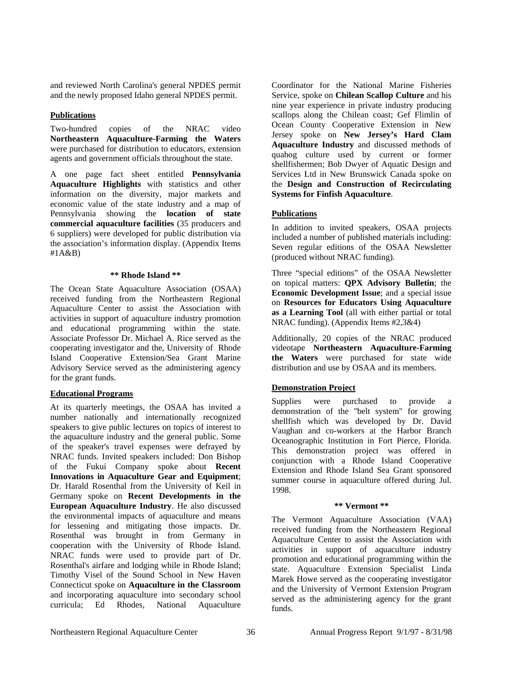and reviewed North Carolina's general NPDES permit and the newly proposed Idaho general NPDES permit.

## **Publications**

Two-hundred copies of the NRAC video **Northeastern Aquaculture-Farming the Waters** were purchased for distribution to educators, extension agents and government officials throughout the state.

A one page fact sheet entitled **Pennsylvania Aquaculture Highlights** with statistics and other information on the diversity, major markets and economic value of the state industry and a map of Pennsylvania showing the **location of state commercial aquaculture facilities** (35 producers and 6 suppliers) were developed for public distribution via the association's information display. (Appendix Items #1A&B)

#### **\*\* Rhode Island \*\***

The Ocean State Aquaculture Association (OSAA) received funding from the Northeastern Regional Aquaculture Center to assist the Association with activities in support of aquaculture industry promotion and educational programming within the state. Associate Professor Dr. Michael A. Rice served as the cooperating investigator and the, University of Rhode Island Cooperative Extension/Sea Grant Marine Advisory Service served as the administering agency for the grant funds.

## **Educational Programs**

At its quarterly meetings, the OSAA has invited a number nationally and internationally recognized speakers to give public lectures on topics of interest to the aquaculture industry and the general public. Some of the speaker's travel expenses were defrayed by NRAC funds. Invited speakers included: Don Bishop of the Fukui Company spoke about **Recent Innovations in Aquaculture Gear and Equipment**; Dr. Harald Rosenthal from the University of Keil in Germany spoke on **Recent Developments in the European Aquaculture Industry**. He also discussed the environmental impacts of aquaculture and means for lessening and mitigating those impacts. Dr. Rosenthal was brought in from Germany in cooperation with the University of Rhode Island. NRAC funds were used to provide part of Dr. Rosenthal's airfare and lodging while in Rhode Island; Timothy Visel of the Sound School in New Haven Connecticut spoke on **Aquaculture in the Classroom** and incorporating aquaculture into secondary school curricula; Ed Rhodes, National Aquaculture

Coordinator for the National Marine Fisheries Service, spoke on **Chilean Scallop Culture** and his nine year experience in private industry producing scallops along the Chilean coast; Gef Flimlin of Ocean County Cooperative Extension in New Jersey spoke on **New Jersey's Hard Clam Aquaculture Industry** and discussed methods of quahog culture used by current or former shellfishermen; Bob Dwyer of Aquatic Design and Services Ltd in New Brunswick Canada spoke on the **Design and Construction of Recirculating Systems for Finfish Aquaculture**.

# **Publications**

In addition to invited speakers, OSAA projects included a number of published materials including: Seven regular editions of the OSAA Newsletter (produced without NRAC funding).

Three "special editions" of the OSAA Newsletter on topical matters: **QPX Advisory Bulletin**; the **Economic Development Issue**; and a special issue on **Resources for Educators Using Aquaculture as a Learning Tool** (all with either partial or total NRAC funding). (Appendix Items #2,3&4)

Additionally, 20 copies of the NRAC produced videotape **Northeastern Aquaculture-Farming the Waters** were purchased for state wide distribution and use by OSAA and its members.

## **Demonstration Project**

Supplies were purchased to provide a demonstration of the "belt system" for growing shellfish which was developed by Dr. David Vaughan and co-workers at the Harbor Branch Oceanographic Institution in Fort Pierce, Florida. This demonstration project was offered in conjunction with a Rhode Island Cooperative Extension and Rhode Island Sea Grant sponsored summer course in aquaculture offered during Jul. 1998.

#### **\*\* Vermont \*\***

The Vermont Aquaculture Association (VAA) received funding from the Northeastern Regional Aquaculture Center to assist the Association with activities in support of aquaculture industry promotion and educational programming within the state. Aquaculture Extension Specialist Linda Marek Howe served as the cooperating investigator and the University of Vermont Extension Program served as the administering agency for the grant funds.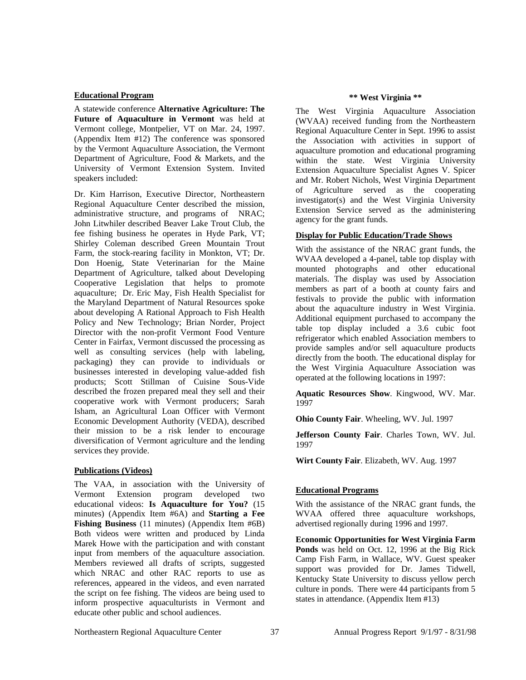## **Educational Program**

A statewide conference **Alternative Agriculture: The Future of Aquaculture in Vermont** was held at Vermont college, Montpelier, VT on Mar. 24, 1997. (Appendix Item #12) The conference was sponsored by the Vermont Aquaculture Association, the Vermont Department of Agriculture, Food & Markets, and the University of Vermont Extension System. Invited speakers included:

Dr. Kim Harrison, Executive Director, Northeastern Regional Aquaculture Center described the mission, administrative structure, and programs of NRAC; John Litwhiler described Beaver Lake Trout Club, the fee fishing business he operates in Hyde Park, VT; Shirley Coleman described Green Mountain Trout Farm, the stock-rearing facility in Monkton, VT; Dr. Don Hoenig, State Veterinarian for the Maine Department of Agriculture, talked about Developing Cooperative Legislation that helps to promote aquaculture; Dr. Eric May, Fish Health Specialist for the Maryland Department of Natural Resources spoke about developing A Rational Approach to Fish Health Policy and New Technology; Brian Norder, Project Director with the non-profit Vermont Food Venture Center in Fairfax, Vermont discussed the processing as well as consulting services (help with labeling, packaging) they can provide to individuals or businesses interested in developing value-added fish products; Scott Stillman of Cuisine Sous-Vide described the frozen prepared meal they sell and their cooperative work with Vermont producers; Sarah Isham, an Agricultural Loan Officer with Vermont Economic Development Authority (VEDA), described their mission to be a risk lender to encourage diversification of Vermont agriculture and the lending services they provide.

# **Publications (Videos)**

The VAA, in association with the University of Vermont Extension program developed two educational videos: **Is Aquaculture for You?** (15 minutes) (Appendix Item #6A) and **Starting a Fee Fishing Business** (11 minutes) (Appendix Item #6B) Both videos were written and produced by Linda Marek Howe with the participation and with constant input from members of the aquaculture association. Members reviewed all drafts of scripts, suggested which NRAC and other RAC reports to use as references, appeared in the videos, and even narrated the script on fee fishing. The videos are being used to inform prospective aquaculturists in Vermont and educate other public and school audiences.

## **\*\* West Virginia \*\***

The West Virginia Aquaculture Association (WVAA) received funding from the Northeastern Regional Aquaculture Center in Sept. 1996 to assist the Association with activities in support of aquaculture promotion and educational programing within the state. West Virginia University Extension Aquaculture Specialist Agnes V. Spicer and Mr. Robert Nichols, West Virginia Department of Agriculture served as the cooperating investigator(s) and the West Virginia University Extension Service served as the administering agency for the grant funds.

# **Display for Public Education/Trade Shows**

With the assistance of the NRAC grant funds, the WVAA developed a 4-panel, table top display with mounted photographs and other educational materials. The display was used by Association members as part of a booth at county fairs and festivals to provide the public with information about the aquaculture industry in West Virginia. Additional equipment purchased to accompany the table top display included a 3.6 cubic foot refrigerator which enabled Association members to provide samples and/or sell aquaculture products directly from the booth. The educational display for the West Virginia Aquaculture Association was operated at the following locations in 1997:

**Aquatic Resources Show**. Kingwood, WV. Mar. 1997

**Ohio County Fair**. Wheeling, WV. Jul. 1997

**Jefferson County Fair**. Charles Town, WV. Jul. 1997

**Wirt County Fair**. Elizabeth, WV. Aug. 1997

# **Educational Programs**

With the assistance of the NRAC grant funds, the WVAA offered three aquaculture workshops, advertised regionally during 1996 and 1997.

**Economic Opportunities for West Virginia Farm Ponds** was held on Oct. 12, 1996 at the Big Rick Camp Fish Farm, in Wallace, WV. Guest speaker support was provided for Dr. James Tidwell, Kentucky State University to discuss yellow perch culture in ponds. There were 44 participants from 5 states in attendance. (Appendix Item #13)